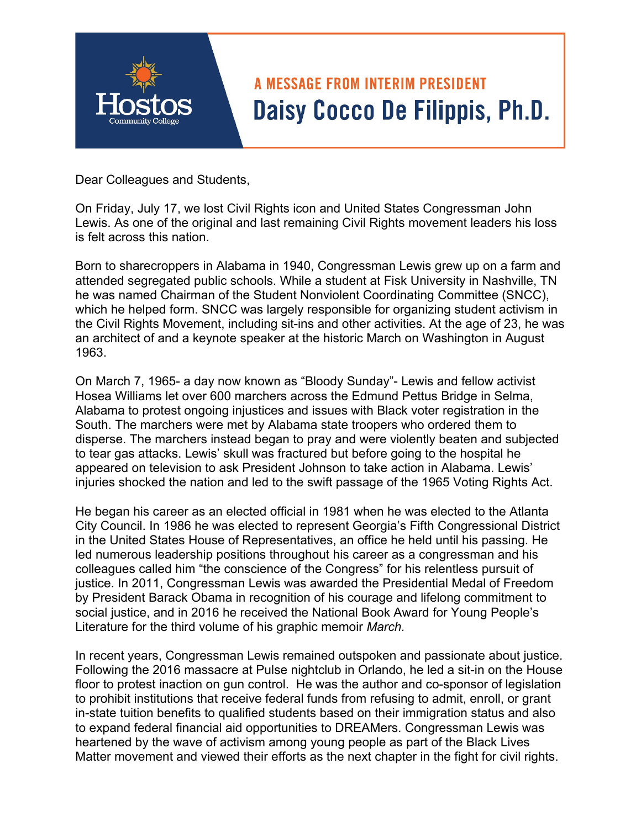## **A MESSAGE FROM INTERIM PRESIDENT** Daisy Cocco De Filippis, Ph.D.

Dear Colleagues and Students,

On Friday, July 17, we lost Civil Rights icon and United States Congressman John Lewis. As one of the original and last remaining Civil Rights movement leaders his loss is felt across this nation.

Born to sharecroppers in Alabama in 1940, Congressman Lewis grew up on a farm and attended segregated public schools. While a student at Fisk University in Nashville, TN he was named Chairman of the Student Nonviolent Coordinating Committee (SNCC), which he helped form. SNCC was largely responsible for organizing student activism in the Civil Rights Movement, including sit-ins and other activities. At the age of 23, he was an architect of and a keynote speaker at the historic March on Washington in August 1963.

On March 7, 1965- a day now known as "Bloody Sunday"- Lewis and fellow activist Hosea Williams let over 600 marchers across the Edmund Pettus Bridge in Selma, Alabama to protest ongoing injustices and issues with Black voter registration in the South. The marchers were met by Alabama state troopers who ordered them to disperse. The marchers instead began to pray and were violently beaten and subjected to tear gas attacks. Lewis' skull was fractured but before going to the hospital he appeared on television to ask President Johnson to take action in Alabama. Lewis' injuries shocked the nation and led to the swift passage of the 1965 Voting Rights Act.

He began his career as an elected official in 1981 when he was elected to the Atlanta City Council. In 1986 he was elected to represent Georgia's Fifth Congressional District in the United States House of Representatives, an office he held until his passing. He led numerous leadership positions throughout his career as a congressman and his colleagues called him "the conscience of the Congress" for his relentless pursuit of justice. In 2011, Congressman Lewis was awarded the Presidential Medal of Freedom by President Barack Obama in recognition of his courage and lifelong commitment to social justice, and in 2016 he received the National Book Award for Young People's Literature for the third volume of his graphic memoir *March.* 

In recent years, Congressman Lewis remained outspoken and passionate about justice. Following the 2016 massacre at Pulse nightclub in Orlando, he led a sit-in on the House floor to protest inaction on gun control. He was the author and co-sponsor of legislation to prohibit institutions that receive federal funds from refusing to admit, enroll, or grant in-state tuition benefits to qualified students based on their immigration status and also to expand federal financial aid opportunities to DREAMers. Congressman Lewis was heartened by the wave of activism among young people as part of the Black Lives Matter movement and viewed their efforts as the next chapter in the fight for civil rights.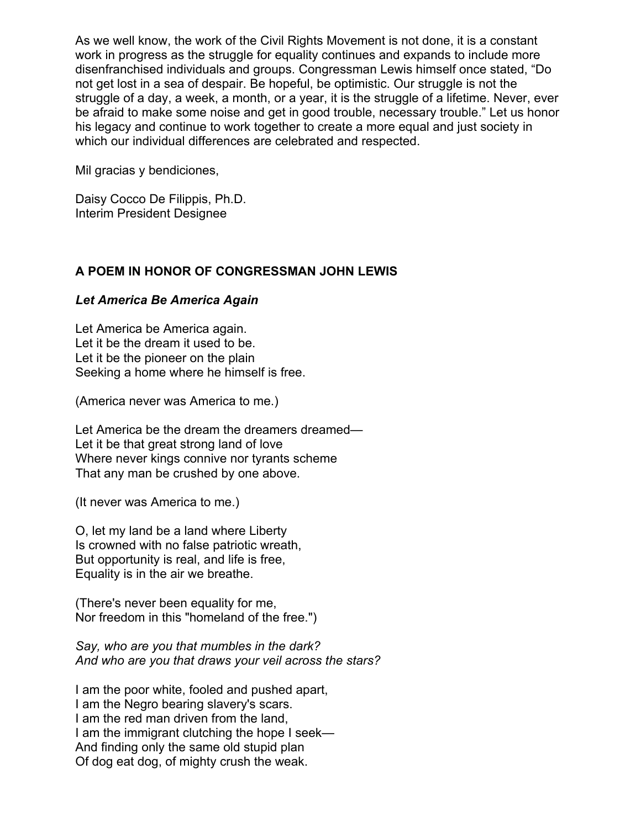As we well know, the work of the Civil Rights Movement is not done, it is a constant work in progress as the struggle for equality continues and expands to include more disenfranchised individuals and groups. Congressman Lewis himself once stated, "Do not get lost in a sea of despair. Be hopeful, be optimistic. Our struggle is not the struggle of a day, a week, a month, or a year, it is the struggle of a lifetime. Never, ever be afraid to make some noise and get in good trouble, necessary trouble." Let us honor his legacy and continue to work together to create a more equal and just society in which our individual differences are celebrated and respected.

Mil gracias y bendiciones,

Daisy Cocco De Filippis, Ph.D. Interim President Designee

## **A POEM IN HONOR OF CONGRESSMAN JOHN LEWIS**

## *Let America Be America Again*

Let America be America again. Let it be the dream it used to be. Let it be the pioneer on the plain Seeking a home where he himself is free.

(America never was America to me.)

Let America be the dream the dreamers dreamed— Let it be that great strong land of love Where never kings connive nor tyrants scheme That any man be crushed by one above.

(It never was America to me.)

O, let my land be a land where Liberty Is crowned with no false patriotic wreath, But opportunity is real, and life is free, Equality is in the air we breathe.

(There's never been equality for me, Nor freedom in this "homeland of the free.")

*Say, who are you that mumbles in the dark? And who are you that draws your veil across the stars?* 

I am the poor white, fooled and pushed apart, I am the Negro bearing slavery's scars. I am the red man driven from the land, I am the immigrant clutching the hope I seek— And finding only the same old stupid plan Of dog eat dog, of mighty crush the weak.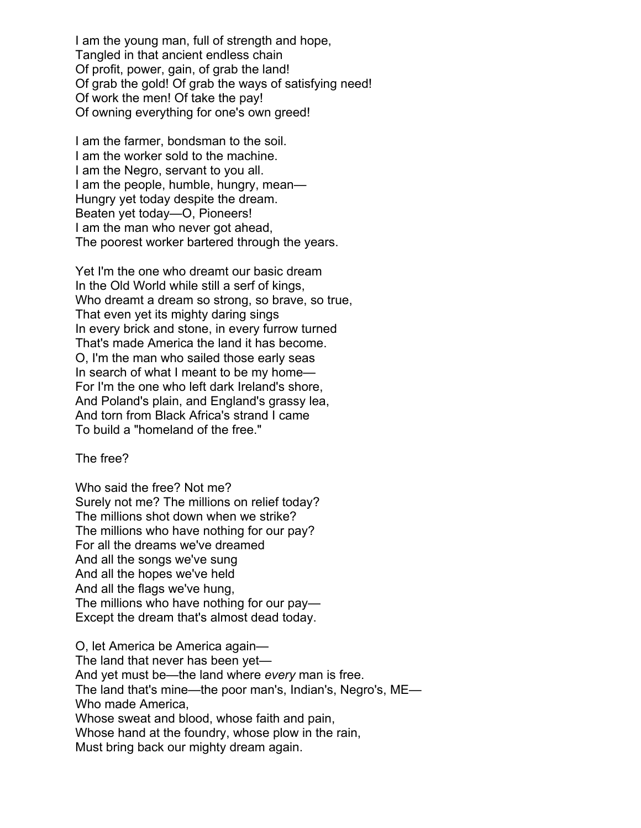I am the young man, full of strength and hope, Tangled in that ancient endless chain Of profit, power, gain, of grab the land! Of grab the gold! Of grab the ways of satisfying need! Of work the men! Of take the pay! Of owning everything for one's own greed!

I am the farmer, bondsman to the soil. I am the worker sold to the machine. I am the Negro, servant to you all. I am the people, humble, hungry, mean— Hungry yet today despite the dream. Beaten yet today—O, Pioneers! I am the man who never got ahead, The poorest worker bartered through the years.

Yet I'm the one who dreamt our basic dream In the Old World while still a serf of kings, Who dreamt a dream so strong, so brave, so true, That even yet its mighty daring sings In every brick and stone, in every furrow turned That's made America the land it has become. O, I'm the man who sailed those early seas In search of what I meant to be my home— For I'm the one who left dark Ireland's shore, And Poland's plain, and England's grassy lea, And torn from Black Africa's strand I came To build a "homeland of the free."

The free?

Who said the free? Not me? Surely not me? The millions on relief today? The millions shot down when we strike? The millions who have nothing for our pay? For all the dreams we've dreamed And all the songs we've sung And all the hopes we've held And all the flags we've hung, The millions who have nothing for our pay— Except the dream that's almost dead today.

O, let America be America again— The land that never has been yet— And yet must be—the land where *every* man is free. The land that's mine—the poor man's, Indian's, Negro's, ME— Who made America, Whose sweat and blood, whose faith and pain, Whose hand at the foundry, whose plow in the rain, Must bring back our mighty dream again.